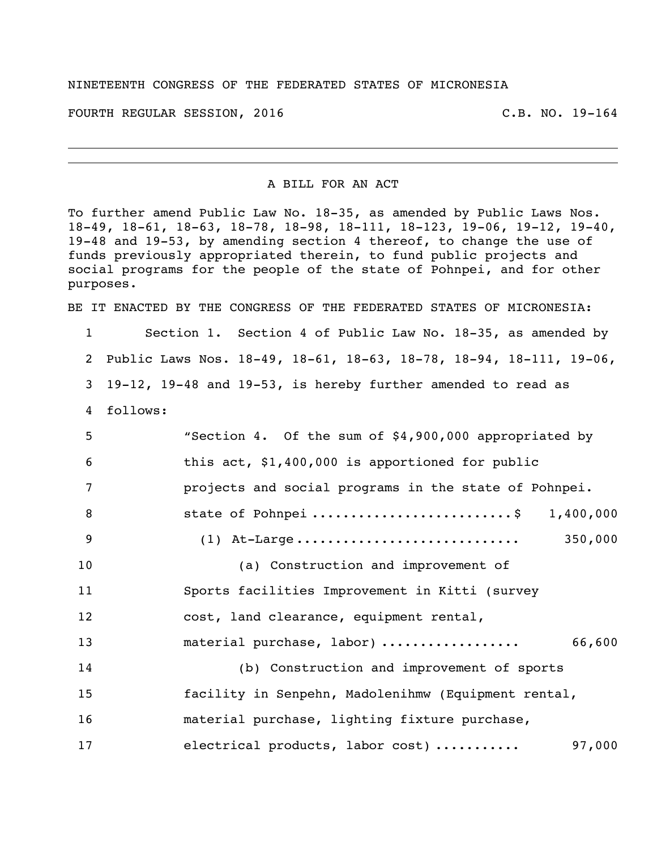## NINETEENTH CONGRESS OF THE FEDERATED STATES OF MICRONESIA

FOURTH REGULAR SESSION, 2016 C.B. NO. 19-164

A BILL FOR AN ACT

To further amend Public Law No. 18-35, as amended by Public Laws Nos. 18-49, 18-61, 18-63, 18-78, 18-98, 18-111, 18-123, 19-06, 19-12, 19-40, 19-48 and 19-53, by amending section 4 thereof, to change the use of funds previously appropriated therein, to fund public projects and social programs for the people of the state of Pohnpei, and for other purposes.

BE IT ENACTED BY THE CONGRESS OF THE FEDERATED STATES OF MICRONESIA:

 Section 1. Section 4 of Public Law No. 18-35, as amended by Public Laws Nos. 18-49, 18-61, 18-63, 18-78, 18-94, 18-111, 19-06, 19-12, 19-48 and 19-53, is hereby further amended to read as 4 follows: "Section 4. Of the sum of \$4,900,000 appropriated by this act, \$1,400,000 is apportioned for public projects and social programs in the state of Pohnpei. 8 5tate of Pohnpei ...............................\$ 1,400,000 (1) At-Large ............................. 350,000 (a) Construction and improvement of Sports facilities Improvement in Kitti (survey cost, land clearance, equipment rental, material purchase, labor) .................. 66,600 (b) Construction and improvement of sports facility in Senpehn, Madolenihmw (Equipment rental, material purchase, lighting fixture purchase, electrical products, labor cost) ........... 97,000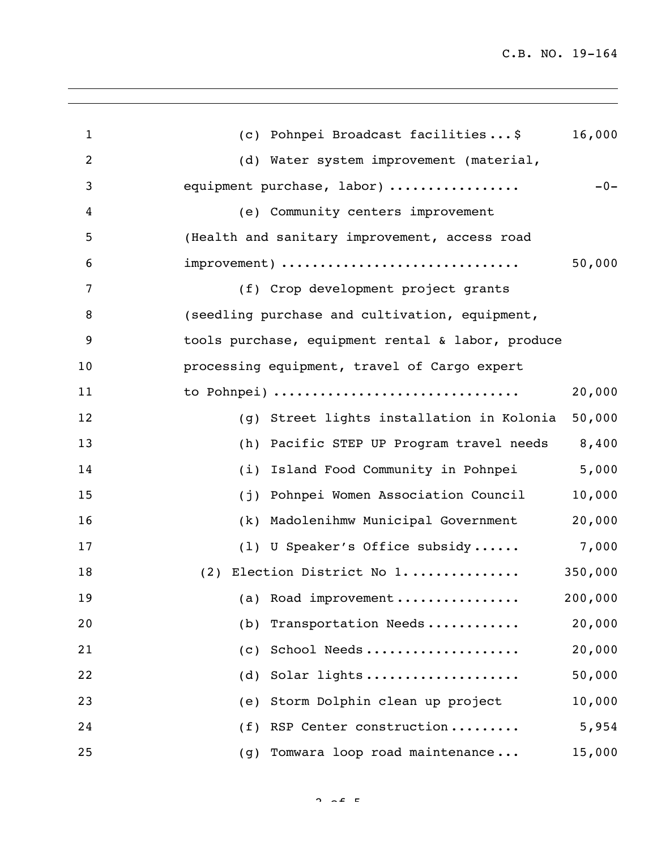| $\mathbf{1}$ | 16,000<br>(c) Pohnpei Broadcast facilities\$        |
|--------------|-----------------------------------------------------|
| 2            | (d) Water system improvement (material,             |
| 3            | $-0-$<br>equipment purchase, labor)                 |
| 4            | (e) Community centers improvement                   |
| 5            | (Health and sanitary improvement, access road       |
| 6            | improvement)<br>50,000                              |
| 7            | (f) Crop development project grants                 |
| 8            | (seedling purchase and cultivation, equipment,      |
| 9            | tools purchase, equipment rental & labor, produce   |
| 10           | processing equipment, travel of Cargo expert        |
| 11           | to Pohnpei)<br>20,000                               |
| 12           | 50,000<br>(g) Street lights installation in Kolonia |
| 13           | Pacific STEP UP Program travel needs 8,400<br>(h)   |
| 14           | 5,000<br>Island Food Community in Pohnpei<br>(i)    |
| 15           | 10,000<br>Pohnpei Women Association Council<br>(j)  |
| 16           | 20,000<br>Madolenihmw Municipal Government<br>(k)   |
| 17           | 7,000<br>(1) U Speaker's Office subsidy             |
| 18           | 350,000<br>(2) Election District No 1               |
| 19           | 200,000<br>(a) Road improvement                     |
| 20           | 20,000<br>Transportation Needs<br>(b)               |
| 21           | School Needs<br>20,000<br>(C)                       |
| 22           | Solar lights<br>50,000<br>(d)                       |
| 23           | Storm Dolphin clean up project<br>10,000<br>(e)     |
| 24           | RSP Center construction<br>5,954<br>(f)             |
| 25           | Tomwara loop road maintenance<br>15,000<br>(g)      |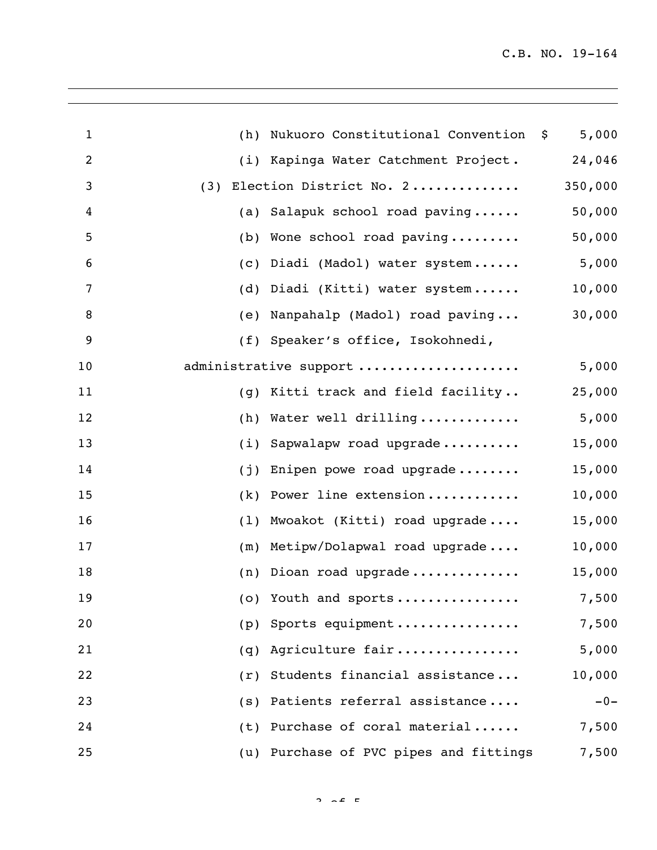| $\mathbf{1}$   | (h) | Nukuoro Constitutional Convention \$   | 5,000   |
|----------------|-----|----------------------------------------|---------|
| $\overline{c}$ |     | (i) Kapinga Water Catchment Project.   | 24,046  |
| 3              |     | (3) Election District No. 2            | 350,000 |
| 4              |     | (a) Salapuk school road paving         | 50,000  |
| 5              |     | (b) Wone school road paving            | 50,000  |
| 6              |     | (c) Diadi (Madol) water system         | 5,000   |
| 7              |     | (d) Diadi (Kitti) water system         | 10,000  |
| 8              |     | (e) Nanpahalp (Madol) road paving      | 30,000  |
| 9              |     | (f) Speaker's office, Isokohnedi,      |         |
| 10             |     | administrative support                 | 5,000   |
| 11             |     | (g) Kitti track and field facility     | 25,000  |
| 12             | (h) | Water well drilling                    | 5,000   |
| 13             | (i) | Sapwalapw road upgrade                 | 15,000  |
| 14             | (j) | Enipen powe road upgrade               | 15,000  |
| 15             | (k) | Power line extension                   | 10,000  |
| 16             | (1) | Mwoakot (Kitti) road upgrade           | 15,000  |
| 17             | (m) | Metipw/Dolapwal road upgrade           | 10,000  |
| 18             | (n) | Dioan road upgrade                     | 15,000  |
| 19             |     | (o) Youth and sports                   | 7,500   |
| 20             | (p) | Sports equipment                       | 7,500   |
| 21             | (q) | Agriculture fair                       | 5,000   |
| 22             | (r) | Students financial assistance          | 10,000  |
| 23             | (s) | Patients referral assistance           | $-0-$   |
| 24             |     | (t) Purchase of coral material         | 7,500   |
| 25             |     | (u) Purchase of PVC pipes and fittings | 7,500   |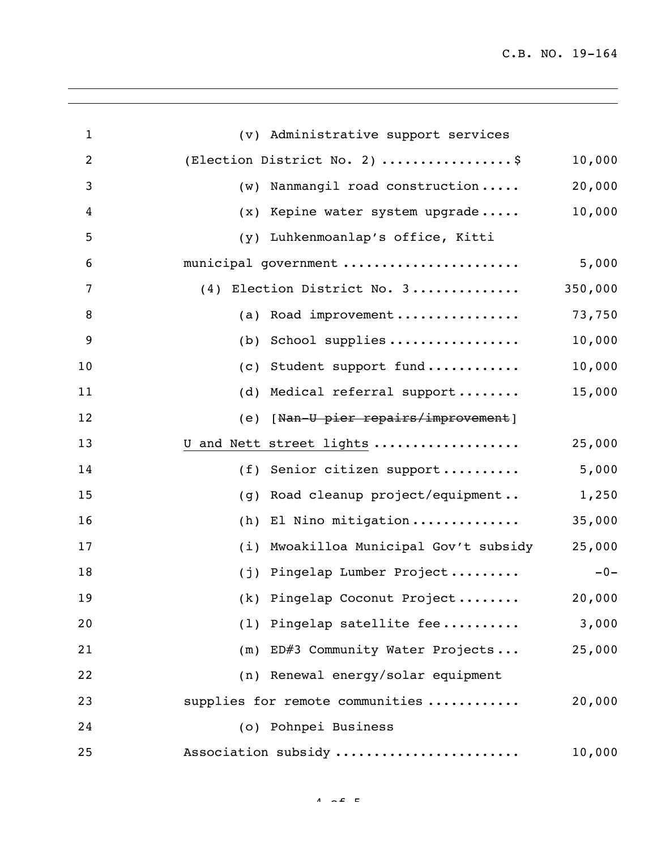C.B. NO. 19-164

| $\mathbf{1}$   | (v) Administrative support services                 |  |
|----------------|-----------------------------------------------------|--|
| $\overline{c}$ | 10,000<br>(Election District No. 2) \$              |  |
| 3              | 20,000<br>Nanmangil road construction<br>(w)        |  |
| 4              | 10,000<br>Kepine water system upgrade<br>(x)        |  |
| 5              | Luhkenmoanlap's office, Kitti<br>(y)                |  |
| 6              | 5,000<br>municipal government                       |  |
| 7              | 350,000<br>(4) Election District No. 3              |  |
| 8              | 73,750<br>Road improvement<br>(a)                   |  |
| 9              | 10,000<br>School supplies<br>(b)                    |  |
| 10             | 10,000<br>Student support fund<br>(C)               |  |
| 11             | 15,000<br>Medical referral support<br>(d)           |  |
| 12             | (e) [Nan-U pier repairs/improvement]                |  |
| 13             | 25,000<br>U and Nett street lights                  |  |
| 14             | 5,000<br>Senior citizen support<br>(f)              |  |
| 15             | 1,250<br>Road cleanup project/equipment<br>(q)      |  |
| 16             | 35,000<br>El Nino mitigation<br>(h)                 |  |
| 17             | 25,000<br>Mwoakilloa Municipal Gov't subsidy<br>(i) |  |
| 18             | (j) Pingelap Lumber Project<br>$-0-$                |  |
| 19             | (k) Pingelap Coconut Project<br>20,000              |  |
| 20             | (1) Pingelap satellite fee<br>3,000                 |  |
| 21             | (m) ED#3 Community Water Projects<br>25,000         |  |
| 22             | (n) Renewal energy/solar equipment                  |  |
| 23             | 20,000<br>supplies for remote communities           |  |
| 24             | (o) Pohnpei Business                                |  |
| 25             | Association subsidy<br>10,000                       |  |

 $4 \times 5$   $\epsilon$